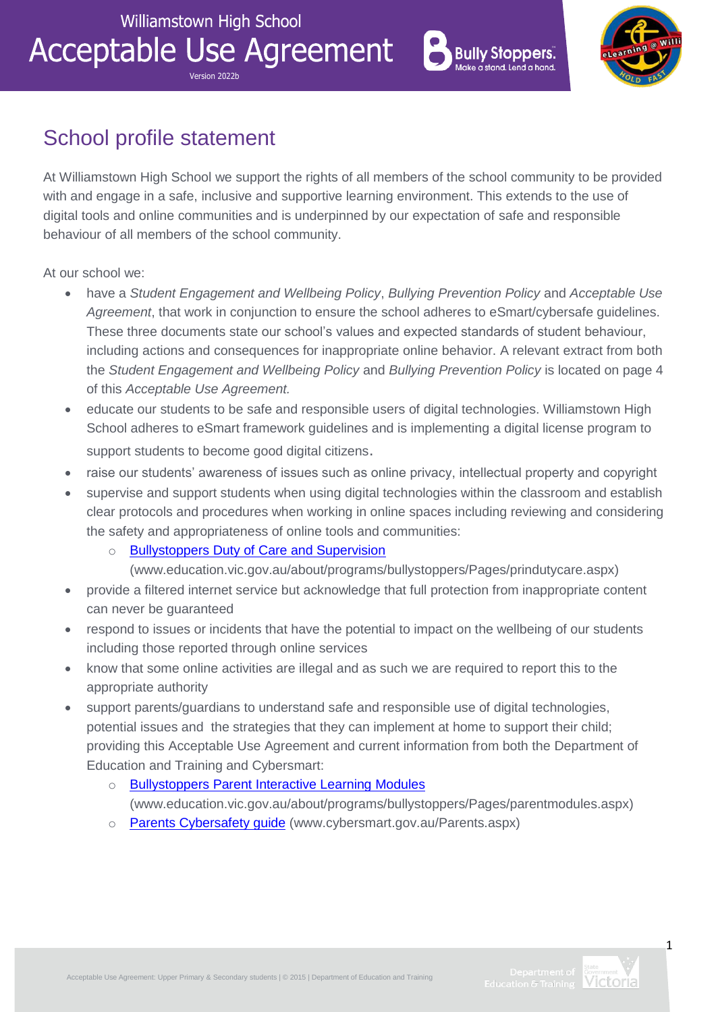**Acceptable Use Agreement** Version 2022b





# School profile statement

At Williamstown High School we support the rights of all members of the school community to be provided with and engage in a safe, inclusive and supportive learning environment. This extends to the use of digital tools and online communities and is underpinned by our expectation of safe and responsible behaviour of all members of the school community.

At our school we:

- have a *Student Engagement and Wellbeing Policy*, *Bullying Prevention Policy* and *Acceptable Use Agreement*, that work in conjunction to ensure the school adheres to eSmart/cybersafe guidelines. These three documents state our school's values and expected standards of student behaviour, including actions and consequences for inappropriate online behavior. A relevant extract from both the *Student Engagement and Wellbeing Policy* and *Bullying Prevention Policy* is located on page 4 of this *Acceptable Use Agreement.*
- educate our students to be safe and responsible users of digital technologies. Williamstown High School adheres to eSmart framework guidelines and is implementing a digital license program to support students to become good digital citizens.
- raise our students' awareness of issues such as online privacy, intellectual property and copyright
- supervise and support students when using digital technologies within the classroom and establish clear protocols and procedures when working in online spaces including reviewing and considering the safety and appropriateness of online tools and communities:
	- o [Bullystoppers Duty of Care and Supervision](http://www.education.vic.gov.au/about/programs/bullystoppers/Pages/prindutycare.aspx)

[\(www.education.vic.gov.au/about/programs/bullystoppers/Pages/prindutycare.aspx\)](http://www.education.vic.gov.au/about/programs/bullystoppers/Pages/prindutycare.aspx)

- provide a filtered internet service but acknowledge that full protection from inappropriate content can never be guaranteed
- respond to issues or incidents that have the potential to impact on the wellbeing of our students including those reported through online services
- know that some online activities are illegal and as such we are required to report this to the appropriate authority
- support parents/guardians to understand safe and responsible use of digital technologies, potential issues and the strategies that they can implement at home to support their child; providing this Acceptable Use Agreement and current information from both the [Department of](http://www.education.vic.gov.au/about/programs/bullystoppers/Pages/parentmodules.aspx)  [Education and Training](http://www.education.vic.gov.au/about/programs/bullystoppers/Pages/parentmodules.aspx) and Cybersmart:
	- o [Bullystoppers Parent Interactive Learning Modules](http://www.education.vic.gov.au/about/programs/bullystoppers/Pages/parentmodules.aspx) [\(www.education.vic.gov.au/about/programs/bullystoppers/Pages/parentmodules.aspx\)](http://www.education.vic.gov.au/about/programs/bullystoppers/Pages/parentmodules.aspx)
	- o [Parents Cybersafety guide](http://www.cybersmart.gov.au/Parents.aspx) [\(www.cybersmart.gov.au/Parents.aspx\)](http://www.cybersmart.gov.au/Parents.aspx)



1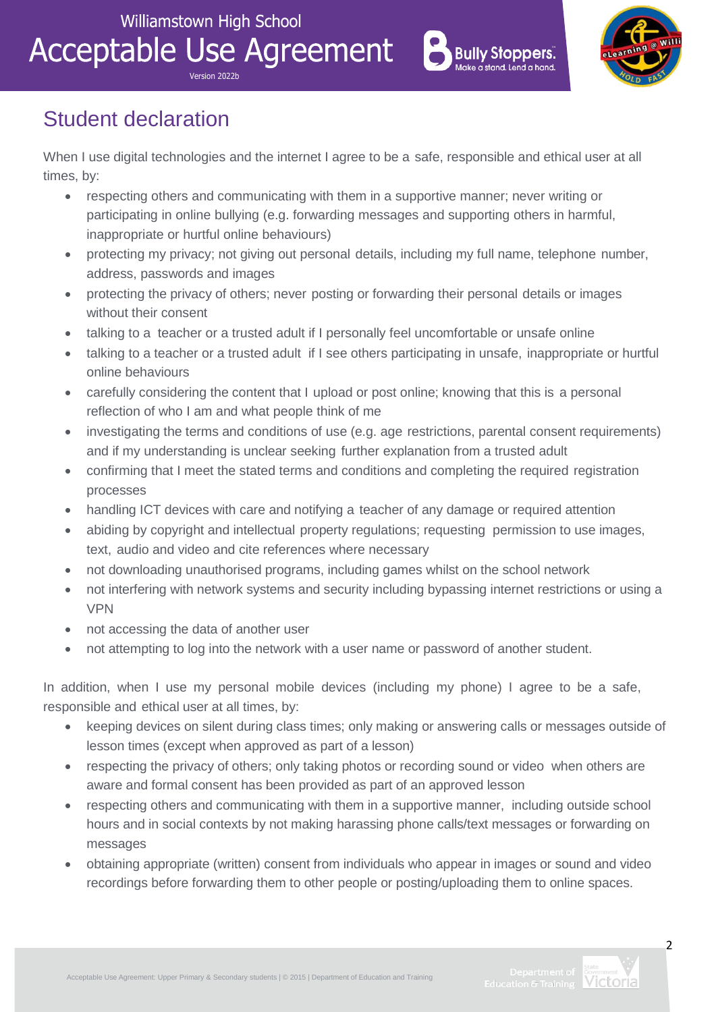**Acceptable Use Agreement** Version 2022b





## Student declaration

When I use digital technologies and the internet I agree to be a safe, responsible and ethical user at all times, by:

- respecting others and communicating with them in a supportive manner; never writing or participating in online bullying (e.g. forwarding messages and supporting others in harmful, inappropriate or hurtful online behaviours)
- protecting my privacy; not giving out personal details, including my full name, telephone number, address, passwords and images
- protecting the privacy of others; never posting or forwarding their personal details or images without their consent
- talking to a teacher or a trusted adult if I personally feel uncomfortable or unsafe online
- talking to a teacher or a trusted adult if I see others participating in unsafe, inappropriate or hurtful online behaviours
- carefully considering the content that I upload or post online; knowing that this is a personal reflection of who I am and what people think of me
- investigating the terms and conditions of use (e.g. age restrictions, parental consent requirements) and if my understanding is unclear seeking further explanation from a trusted adult
- confirming that I meet the stated terms and conditions and completing the required registration processes
- handling ICT devices with care and notifying a teacher of any damage or required attention
- abiding by copyright and intellectual property regulations; requesting permission to use images, text, audio and video and cite references where necessary
- not downloading unauthorised programs, including games whilst on the school network
- not interfering with network systems and security including bypassing internet restrictions or using a VPN
- not accessing the data of another user
- not attempting to log into the network with a user name or password of another student.

In addition, when I use my personal mobile devices (including my phone) I agree to be a safe, responsible and ethical user at all times, by:

- keeping devices on silent during class times; only making or answering calls or messages outside of lesson times (except when approved as part of a lesson)
- respecting the privacy of others; only taking photos or recording sound or video when others are aware and formal consent has been provided as part of an approved lesson
- respecting others and communicating with them in a supportive manner, including outside school hours and in social contexts by not making harassing phone calls/text messages or forwarding on messages
- obtaining appropriate (written) consent from individuals who appear in images or sound and video recordings before forwarding them to other people or posting/uploading them to online spaces.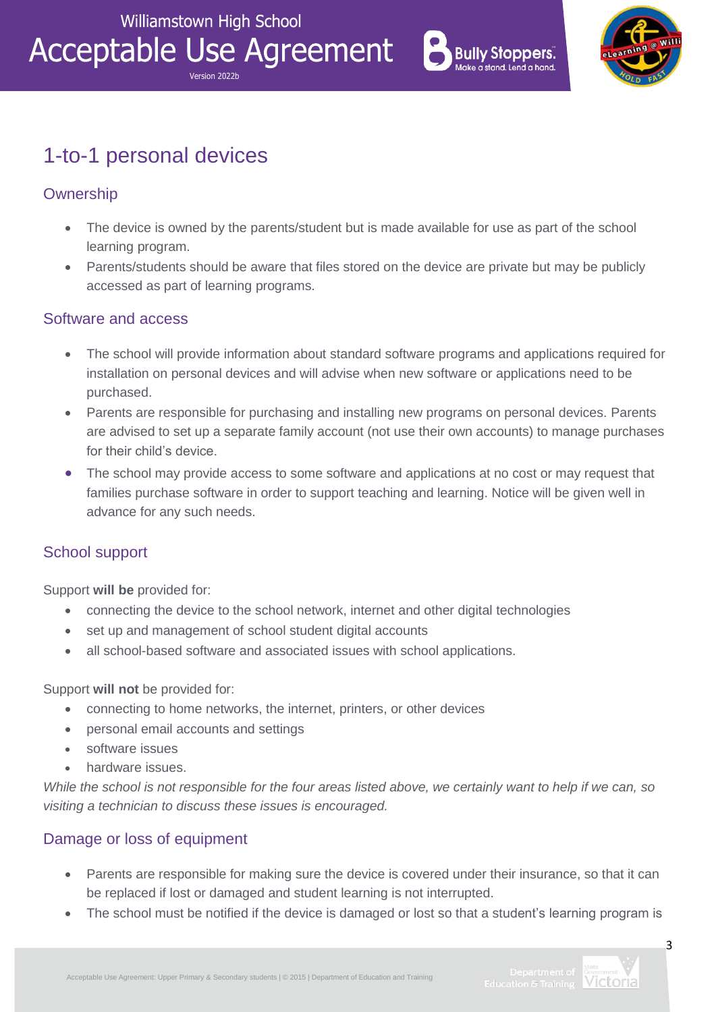Version 2022b

**Acceptable Use Agreement** 



![](_page_2_Picture_2.jpeg)

## 1-to-1 personal devices

## **Ownership**

- The device is owned by the parents/student but is made available for use as part of the school learning program.
- Parents/students should be aware that files stored on the device are private but may be publicly accessed as part of learning programs.

#### Software and access

- The school will provide information about standard software programs and applications required for installation on personal devices and will advise when new software or applications need to be purchased.
- Parents are responsible for purchasing and installing new programs on personal devices. Parents are advised to set up a separate family account (not use their own accounts) to manage purchases for their child's device.
- The school may provide access to some software and applications at no cost or may request that families purchase software in order to support teaching and learning. Notice will be given well in advance for any such needs.

## School support

Support **will be** provided for:

- connecting the device to the school network, internet and other digital technologies
- set up and management of school student digital accounts
- all school-based software and associated issues with school applications.

#### Support **will not** be provided for:

- connecting to home networks, the internet, printers, or other devices
- personal email accounts and settings
- software issues
- hardware issues.

*While the school is not responsible for the four areas listed above, we certainly want to help if we can, so visiting a technician to discuss these issues is encouraged.*

## Damage or loss of equipment

- Parents are responsible for making sure the device is covered under their insurance, so that it can be replaced if lost or damaged and student learning is not interrupted.
- The school must be notified if the device is damaged or lost so that a student's learning program is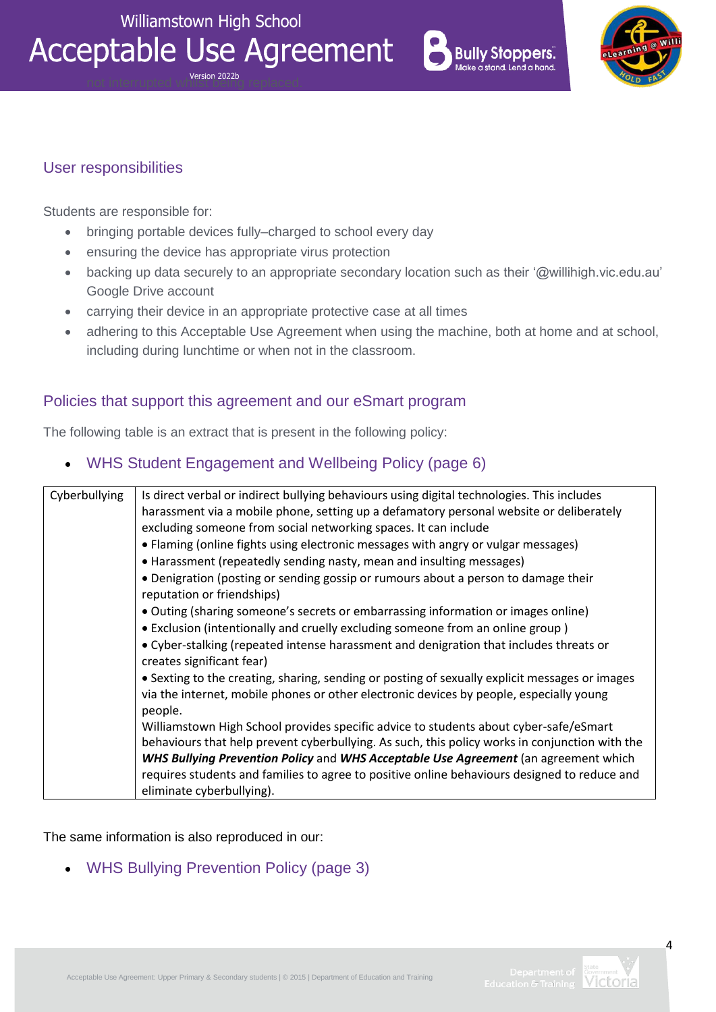![](_page_3_Picture_1.jpeg)

![](_page_3_Picture_2.jpeg)

![](_page_3_Picture_3.jpeg)

#### User responsibilities

Students are responsible for:

- bringing portable devices fully–charged to school every day
- ensuring the device has appropriate virus protection
- backing up data securely to an appropriate secondary location such as their '@willihigh.vic.edu.au' Google Drive account
- carrying their device in an appropriate protective case at all times
- adhering to this Acceptable Use Agreement when using the machine, both at home and at school, including during lunchtime or when not in the classroom.

#### Policies that support this agreement and our eSmart program

The following table is an extract that is present in the following policy:

WHS Student Engagement and Wellbeing Policy (page 6)

| Cyberbullying | Is direct verbal or indirect bullying behaviours using digital technologies. This includes<br>harassment via a mobile phone, setting up a defamatory personal website or deliberately<br>excluding someone from social networking spaces. It can include<br>• Flaming (online fights using electronic messages with angry or vulgar messages)<br>• Harassment (repeatedly sending nasty, mean and insulting messages) |
|---------------|-----------------------------------------------------------------------------------------------------------------------------------------------------------------------------------------------------------------------------------------------------------------------------------------------------------------------------------------------------------------------------------------------------------------------|
|               | • Denigration (posting or sending gossip or rumours about a person to damage their<br>reputation or friendships)                                                                                                                                                                                                                                                                                                      |
|               | . Outing (sharing someone's secrets or embarrassing information or images online)                                                                                                                                                                                                                                                                                                                                     |
|               | • Exclusion (intentionally and cruelly excluding someone from an online group)                                                                                                                                                                                                                                                                                                                                        |
|               | • Cyber-stalking (repeated intense harassment and denigration that includes threats or<br>creates significant fear)                                                                                                                                                                                                                                                                                                   |
|               | • Sexting to the creating, sharing, sending or posting of sexually explicit messages or images<br>via the internet, mobile phones or other electronic devices by people, especially young<br>people.                                                                                                                                                                                                                  |
|               | Williamstown High School provides specific advice to students about cyber-safe/eSmart                                                                                                                                                                                                                                                                                                                                 |
|               | behaviours that help prevent cyberbullying. As such, this policy works in conjunction with the                                                                                                                                                                                                                                                                                                                        |
|               | WHS Bullying Prevention Policy and WHS Acceptable Use Agreement (an agreement which                                                                                                                                                                                                                                                                                                                                   |
|               | requires students and families to agree to positive online behaviours designed to reduce and                                                                                                                                                                                                                                                                                                                          |
|               | eliminate cyberbullying).                                                                                                                                                                                                                                                                                                                                                                                             |

The same information is also reproduced in our:

WHS Bullying Prevention Policy (page 3)

![](_page_3_Picture_17.jpeg)

 $\overline{A}$